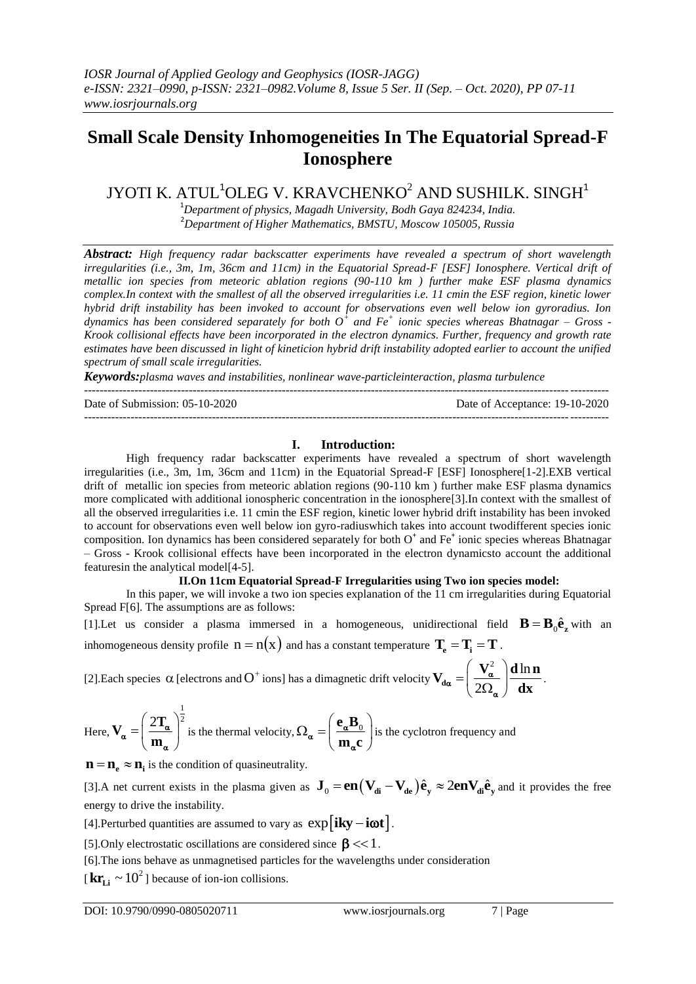# **Small Scale Density Inhomogeneities In The Equatorial Spread-F Ionosphere**

JYOTI K. ATUL<sup>1</sup>OLEG V. KRAVCHENKO<sup>2</sup> AND SUSHILK. SINGH<sup>1</sup>

<sup>1</sup>*Department of physics, Magadh University, Bodh Gaya 824234, India.* <sup>2</sup>*Department of Higher Mathematics, BMSTU, Moscow 105005, Russia*

*Abstract: High frequency radar backscatter experiments have revealed a spectrum of short wavelength irregularities (i.e., 3m, 1m, 36cm and 11cm) in the Equatorial Spread-F [ESF] Ionosphere. Vertical drift of metallic ion species from meteoric ablation regions (90-110 km ) further make ESF plasma dynamics complex.In context with the smallest of all the observed irregularities i.e. 11 cmin the ESF region, kinetic lower hybrid drift instability has been invoked to account for observations even well below ion gyroradius. Ion dynamics has been considered separately for both O<sup>+</sup> and Fe<sup>+</sup> ionic species whereas Bhatnagar – Gross - Krook collisional effects have been incorporated in the electron dynamics. Further, frequency and growth rate estimates have been discussed in light of kineticion hybrid drift instability adopted earlier to account the unified spectrum of small scale irregularities.* 

*Keywords:plasma waves and instabilities, nonlinear wave-particleinteraction, plasma turbulence*

--------------------------------------------------------------------------------------------------------------------------------------- Date of Submission: 05-10-2020 Date of Acceptance: 19-10-2020 ---------------------------------------------------------------------------------------------------------------------------------------

## **I. Introduction:**

High frequency radar backscatter experiments have revealed a spectrum of short wavelength irregularities (i.e., 3m, 1m, 36cm and 11cm) in the Equatorial Spread-F [ESF] Ionosphere[1-2].EXB vertical drift of metallic ion species from meteoric ablation regions (90-110 km ) further make ESF plasma dynamics more complicated with additional ionospheric concentration in the ionosphere[3].In context with the smallest of all the observed irregularities i.e. 11 cmin the ESF region, kinetic lower hybrid drift instability has been invoked to account for observations even well below ion gyro-radiuswhich takes into account twodifferent species ionic composition. Ion dynamics has been considered separately for both  $O<sup>+</sup>$  and  $Fe<sup>+</sup>$  ionic species whereas Bhatnagar – Gross - Krook collisional effects have been incorporated in the electron dynamicsto account the additional featuresin the analytical model[4-5].

## **II.On 11cm Equatorial Spread-F Irregularities using Two ion species model:**

In this paper, we will invoke a two ion species explanation of the 11 cm irregularities during Equatorial Spread F[6]. The assumptions are as follows:

[1]. Let us consider a plasma immersed in a homogeneous, unidirectional field  $\mathbf{B} = \mathbf{B}_0 \hat{\mathbf{e}}_z$  with an inhomogeneous density profile  $n = n(x)$  and has a constant temperature  $T_e = T_i = T$  .

[2]. Each species  $\alpha$  [electrons and  $O^+$  ions] has a dimagnetic drift velocity  $\int_{\gamma}^{2}$  dln  $V_{d\alpha} = \left(\frac{V_{\alpha}^2}{2\Omega_{\alpha}}\right) \frac{d \ln n}{dx}$ **dx**  $\alpha = \frac{v_{\alpha}}{20}$ ά  $\left(\begin{array}{c} \mathbf{V}_{\alpha}^2 \end{array}\right) \mathbf{d}$  $=\left(\frac{\mathbf{v}_{\alpha}}{2\Omega_{\alpha}}\right)\frac{\mathbf{u}\ln\mathbf{n}}{\mathbf{dx}}$ .

Here, 
$$
V_{\alpha} = \left(\frac{2T_{\alpha}}{m_{\alpha}}\right)^{\frac{1}{2}}
$$
 is the thermal velocity,  $\Omega_{\alpha} = \left(\frac{e_{\alpha}B_{0}}{m_{\alpha}c}\right)$  is the cyclotron frequency and

 $\mathbf{n} = \mathbf{n}_{e} \approx \mathbf{n}_{i}$  is the condition of quasineutrality.

 $\mathbf{H} = \mathbf{H}_e \approx \mathbf{H}_i$  is the condition of quasineurianty.<br>[3].A net current exists in the plasma given as  $\mathbf{J}_0 = \mathbf{en}(\mathbf{V}_{di} - \mathbf{V}_{de})\hat{\mathbf{e}}_y \approx 2\mathbf{en} \mathbf{V}_{di}\hat{\mathbf{e}}_y$  and it provides the free energy to drive the instability.

[4]. Perturbed quantities are assumed to vary as  $\exp[i\mathbf{ky}-i\boldsymbol{\omega}t]$ .

[5]. Only electrostatic oscillations are considered since  $\beta \ll 1$ .

[6].The ions behave as unmagnetised particles for the wavelengths under consideration

 $[\mathbf{kr}_{\text{Li}} \sim 10^2]$  because of ion-ion collisions.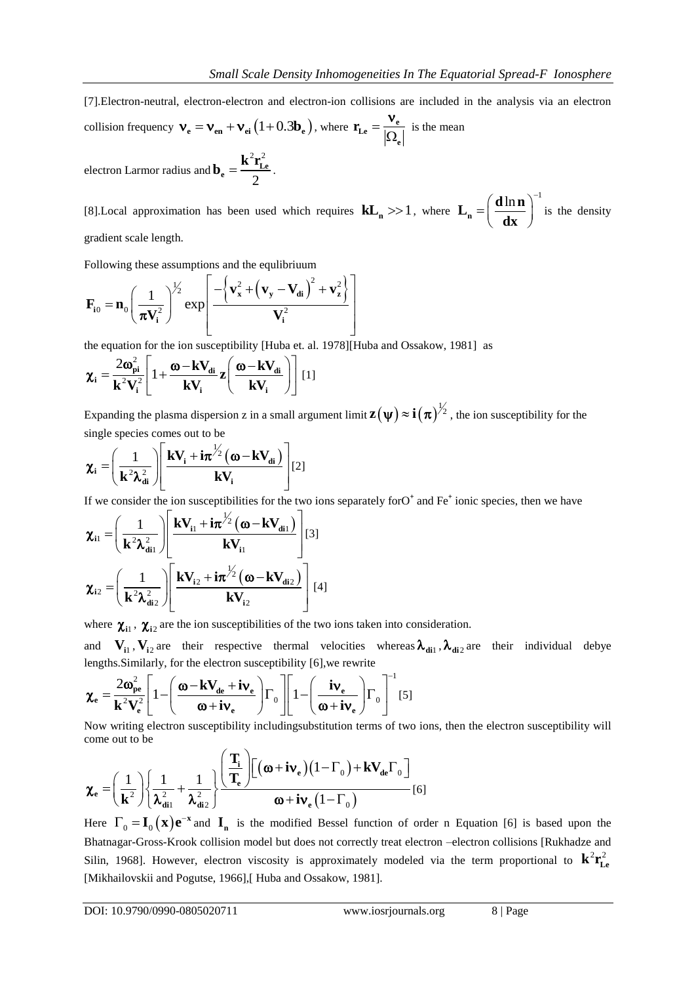[7].Electron-neutral, electron-electron and electron-ion collisions are included in the analysis via an electron

collision frequency 
$$
\mathbf{v}_e = \mathbf{v}_{en} + \mathbf{v}_{ei} (1 + 0.3 \mathbf{b}_e)
$$
, where  $\mathbf{r}_{Le} = \frac{\mathbf{v}_e}{|\Omega_e|}$  is the mean  
electron Larmor radius and  $\mathbf{b}_e = \frac{\mathbf{k}^2 \mathbf{r}_{Le}^2}{2}$ .

[8]. Local approximation has been used which requires  $kL_n \gg 1$ , where  $\ln n$   $\big)^{-1}$  $L_n = \frac{d \ln n}{d \ln n}$ **dx**  $=\left(\frac{\text{d}\ln n}{\text{d}x}\right)^{-1}$  is the density gradient scale length.

Following these assumptions and the equilibrium  
\n
$$
\mathbf{F}_{i0} = \mathbf{n}_0 \left( \frac{1}{\pi \mathbf{V}_i^2} \right)^{\frac{1}{2}} \exp \left[ \frac{-\left\{ \mathbf{v}_x^2 + \left( \mathbf{v}_y - \mathbf{V}_{di} \right)^2 + \mathbf{v}_z^2 \right\}}{\mathbf{V}_i^2} \right]
$$

the equation for the ion susceptibility [Huba et. al. 1978][Huba and Ossakow, 1981] as<br>  $\mathbf{x}_{\cdot} = \frac{2\omega_{\text{pi}}^2}{1 + \frac{\omega - kV_{di}}{2}} \mathbf{z} \left( \frac{\omega - kV_{di}}{1 + \omega} \right)$ 

$$
\chi_{i} = \frac{2\omega_{pi}^{2}}{k^{2}V_{i}^{2}} \left[ 1 + \frac{\omega - kV_{di}}{kV_{i}} z \left( \frac{\omega - kV_{di}}{kV_{i}} \right) \right] [1]
$$

Expanding the plasma dispersion z in a small argument limit  $\mathbf{z}(\psi) \approx \mathbf{i}(\pi)^{\frac{1}{2}}$ , the ion susceptibility for the

single species comes out to be  
\n
$$
\chi_{i} = \left(\frac{1}{k^{2} \lambda_{di}^{2}}\right) \left[\frac{kV_{i} + i\pi^{\frac{1}{2}}(\omega - kV_{di})}{kV_{i}}\right] [2]
$$

If we consider the ion susceptibilities for the two ions separately forO<sup>+</sup> and Fe<sup>+</sup> ionic species, then we have<br>  $\mathbf{x} = \left(\frac{1}{\sqrt{1-\lambda}}\right) \begin{bmatrix} \mathbf{kV}_{i1} + i\pi^{1/2}(\mathbf{\omega} - \mathbf{kV}_{di1}) \\ \mathbf{w} \end{bmatrix}$ 

$$
\chi_{i1} = \left(\frac{1}{\mathbf{k}^2 \lambda_{di1}^2}\right) \left[\frac{\mathbf{k} \mathbf{V}_{i1} + i\pi^{\frac{1}{2}}(\omega - \mathbf{k} \mathbf{V}_{di1})}{\mathbf{k} \mathbf{V}_{i1}}\right] [3]
$$

$$
\chi_{i2} = \left(\frac{1}{\mathbf{k}^2 \lambda_{di2}^2}\right) \left[\frac{\mathbf{k} \mathbf{V}_{i2} + i\pi^{\frac{1}{2}}(\omega - \mathbf{k} \mathbf{V}_{di2})}{\mathbf{k} \mathbf{V}_{i2}}\right] [4]
$$

where  $\chi_{i1}$ ,  $\chi_{i2}$  are the ion susceptibilities of the two ions taken into consideration.

and  $V_{i1}$ ,  $V_{i2}$  are their respective thermal velocities whereas  $\lambda_{di1}$ ,  $\lambda_{di2}$  are their individual debye

and 
$$
\mathbf{v}_{i1}
$$
,  $\mathbf{v}_{i2}$  are their respective thermal velocities whereas  $\mathbf{v}_{di1}$   
lengths. Similarly, for the electron susceptibility [6], we rewrite  

$$
\mathbf{\chi}_{e} = \frac{2\omega_{pe}^{2}}{\mathbf{k}^{2}V_{e}^{2}} \left[1 - \left(\frac{\boldsymbol{\omega} - \mathbf{k}V_{de} + i\mathbf{v}_{e}}{\boldsymbol{\omega} + i\mathbf{v}_{e}}\right)\boldsymbol{\Gamma}_{0}\right] \left[1 - \left(\frac{i\mathbf{v}_{e}}{\boldsymbol{\omega} + i\mathbf{v}_{e}}\right)\boldsymbol{\Gamma}_{0}\right]^{-1} [5]
$$

Now writing electron susceptibility includingsubstitution terms of two ions, then the electron susceptibility will<br>come out to be<br> $(1)$   $\left(1 - 1\right)$   $\left( \frac{T_i}{T} \right) \left[ (\omega + i v_e)(1 - \Gamma_0) + kV_{de} \Gamma_0 \right]$ come out to be

Now writing electron susceptibility including  
substitution terms of two ions, the  
come out to be  

$$
\chi_e = \left(\frac{1}{\mathbf{k}^2}\right) \left\{\frac{1}{\lambda_{di1}^2} + \frac{1}{\lambda_{di2}^2}\right\} \frac{\left(\frac{\mathbf{T}_i}{\mathbf{T}_e}\right) \left[(\boldsymbol{\omega} + i\mathbf{v}_e)(1-\Gamma_0) + \mathbf{k} \mathbf{V}_{de}\Gamma_0\right]}{\boldsymbol{\omega} + i\mathbf{v}_e(1-\Gamma_0)} \quad [6]
$$

Here  $\Gamma_0 = I_0(x) e^{-x}$  and  $I_n$  is the modified Bessel function of order n Equation [6] is based upon the Bhatnagar-Gross-Krook collision model but does not correctly treat electron –electron collisions [Rukhadze and Silin, 1968]. However, electron viscosity is approximately modeled via the term proportional to  $\mathbf{k}^2 \mathbf{r}_{\text{Le}}^2$ [Mikhailovskii and Pogutse, 1966],[Huba and Ossakow, 1981].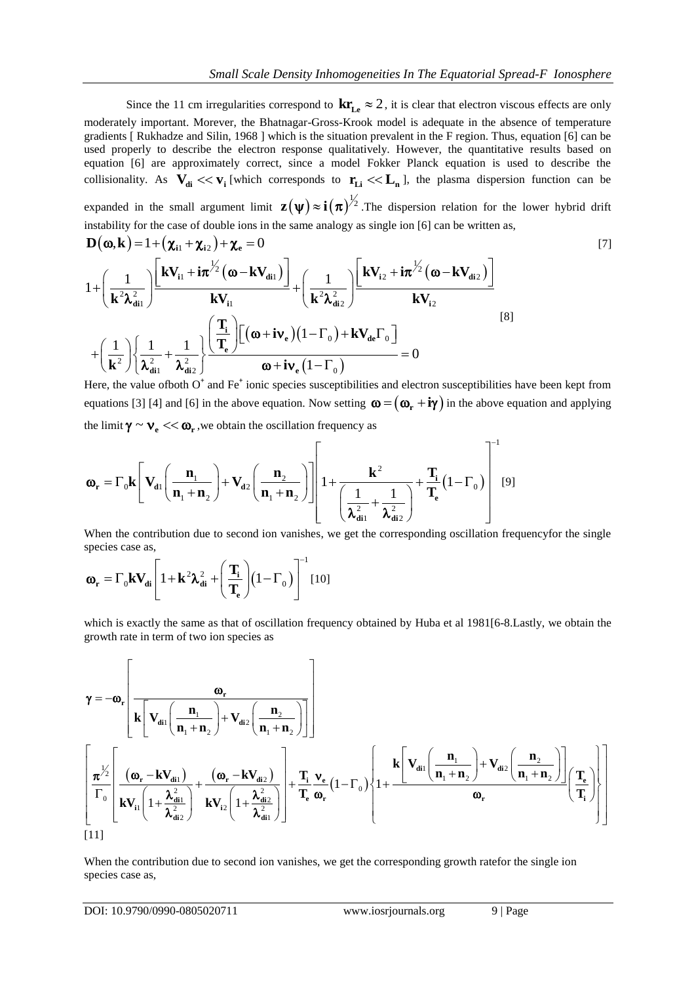Since the 11 cm irregularities correspond to  $kr_{\text{Le}} \approx 2$ , it is clear that electron viscous effects are only moderately important. Morever, the Bhatnagar-Gross-Krook model is adequate in the absence of temperature gradients [ Rukhadze and Silin, 1968 ] which is the situation prevalent in the F region. Thus, equation [6] can be used properly to describe the electron response qualitatively. However, the quantitative results based on equation [6] are approximately correct, since a model Fokker Planck equation is used to describe the collisionality. As  $V_{di} \ll V_i$  [which corresponds to  $r_{Li} \ll L_n$ ], the plasma dispersion function can be expanded in the small argument limit  $\mathbf{z}(\psi) \approx \mathbf{i}(\pi)^{\frac{1}{2}}$ . The dispersion relation for the lower hybrid drift

instability for the case of double ions in the same analogy as single ion [6] can be written as,  
\n
$$
\mathbf{D}(\mathbf{\omega}, \mathbf{k}) = 1 + (\mathbf{\chi}_{i1} + \mathbf{\chi}_{i2}) + \mathbf{\chi}_{e} = 0
$$
\n[7]  
\n
$$
1 + \left(\frac{1}{\mathbf{k}^{2} \lambda_{di1}^{2}}\right) \frac{\mathbf{k} \mathbf{V}_{i1} + i\pi^{\frac{1}{2}} (\mathbf{\omega} - \mathbf{k} \mathbf{V}_{di1})}{\mathbf{k} \mathbf{V}_{i1}} + \left(\frac{1}{\mathbf{k}^{2} \lambda_{di2}^{2}}\right) \frac{\mathbf{k} \mathbf{V}_{i2} + i\pi^{\frac{1}{2}} (\mathbf{\omega} - \mathbf{k} \mathbf{V}_{di2})}{\mathbf{k} \mathbf{V}_{i2}}
$$
\n[8]  
\n
$$
+ \left(\frac{1}{\mathbf{k}^{2}}\right) \left\{\frac{1}{\lambda_{di1}^{2}} + \frac{1}{\lambda_{di2}^{2}}\right\} \frac{\left(\frac{\mathbf{T}_{i}}{\mathbf{T}_{e}}\right) \left[(\mathbf{\omega} + i \mathbf{v}_{e})(1 - \Gamma_{0}) + \mathbf{k} \mathbf{V}_{de}\Gamma_{0}\right]}{\mathbf{\omega} + i \mathbf{v}_{e}(1 - \Gamma_{0})} = 0
$$
\nHere the value of both  $\mathbf{O}^{+}$  and Eq<sup>+</sup> ionic species superthilities and electron superthilities have been kont from

Here, the value of both  $O^*$  and Fe<sup>+</sup> ionic species susceptibilities and electron susceptibilities have been kept from equations [3] [4] and [6] in the above equation. Now setting  $\boldsymbol{\omega} = (\boldsymbol{\omega}_{r} + i\boldsymbol{\gamma})$  in the above equation and applying the limit  $\boldsymbol{\gamma} \sim \boldsymbol{v}_{e} \ll \boldsymbol{\omega}_{r}$ , we obtain the oscillation frequency as

the limit 
$$
\gamma \sim v_e \ll \omega_r
$$
, we obtain the oscillation frequency as  
\n
$$
\omega_r = \Gamma_0 \mathbf{k} \left[ \mathbf{V}_{d1} \left( \frac{\mathbf{n}_1}{\mathbf{n}_1 + \mathbf{n}_2} \right) + \mathbf{V}_{d2} \left( \frac{\mathbf{n}_2}{\mathbf{n}_1 + \mathbf{n}_2} \right) \right] \left[ 1 + \frac{\mathbf{k}^2}{\left( \frac{1}{\lambda_{d11}^2} + \frac{1}{\lambda_{d12}^2} \right)} + \frac{\mathbf{T}_i}{\mathbf{T}_e} (1 - \Gamma_0) \right] \tag{9}
$$
\nWhen the contribution due to second ion vanishes, we get the corresponding oscillation frequency for the single

species case as,

species case as,  
\n
$$
\boldsymbol{\omega}_{\mathbf{r}} = \Gamma_0 \mathbf{k} \mathbf{V}_{di} \left[ 1 + \mathbf{k}^2 \boldsymbol{\lambda}_{di}^2 + \left( \frac{\mathbf{T}_i}{\mathbf{T}_e} \right) (1 - \Gamma_0) \right]^{-1} [10]
$$

which is exactly the same as that of oscillation frequency obtained by Huba et al 1981[6-8.Lastly, we obtain the

which is exactly the same as that of oscillation frequency obtained by Huba et al 1981[6-8.Lastly, we obtain the  
growth rate in term of two ion species as  

$$
\gamma = -\omega_r \left[ \frac{\omega_r}{\mathbf{k} \left[ \mathbf{V}_{di1} \left( \frac{\mathbf{n}_1}{\mathbf{n}_1 + \mathbf{n}_2} \right) + \mathbf{V}_{di2} \left( \frac{\mathbf{n}_2}{\mathbf{n}_1 + \mathbf{n}_2} \right) \right] } \right]
$$

$$
\left[ \frac{\pi^{1/2}}{\Gamma_0} \left[ \frac{(\omega_r - k\mathbf{V}_{di1})}{k\mathbf{V}_{ii} \left( 1 + \frac{\lambda_{di1}^2}{\lambda_{di2}^2} \right)} + \frac{(\omega_r - k\mathbf{V}_{di2})}{k\mathbf{V}_{i2} \left( 1 + \frac{\lambda_{di2}^2}{\lambda_{di1}^2} \right)} \right] + \frac{\mathbf{T}_i}{\mathbf{T}_e} \frac{\mathbf{v}_e}{\omega_r} (1 - \Gamma_0) \left\{ 1 + \frac{k \left[ \mathbf{V}_{di1} \left( \frac{\mathbf{n}_1}{\mathbf{n}_1 + \mathbf{n}_2} \right) + \mathbf{V}_{di2} \left( \frac{\mathbf{n}_2}{\mathbf{n}_1 + \mathbf{n}_2} \right) \right] \left( \frac{\mathbf{T}_e}{\mathbf{T}_i} \right) \right\}
$$
[11]

When the contribution due to second ion vanishes, we get the corresponding growth ratefor the single ion species case as,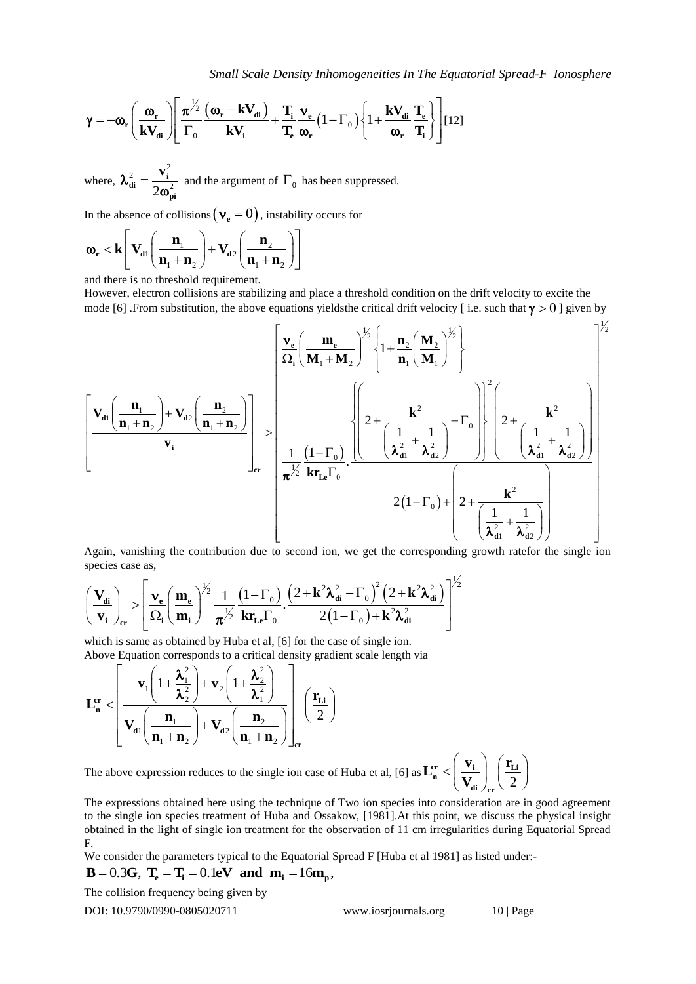Small Scale Density Inhomogeneities In The Equatorial Spread-F Ionosphere  
\n
$$
\gamma = -\omega_r \left( \frac{\omega_r}{kV_{di}} \right) \left[ \frac{\pi^{1/2}}{\Gamma_0} \frac{(\omega_r - kV_{di})}{kV_i} + \frac{T_i}{T_e} \frac{v_e}{\omega_r} (1 - \Gamma_0) \left\{ 1 + \frac{kV_{di}}{\omega_r} \frac{T_e}{T_i} \right\} \right] [12]
$$

where,  $2 - \mathbf{v_i}^2$  $2\omega_{\rm n}^2$  $\frac{2}{\mathbf{d}\mathbf{i}} = \frac{\mathbf{v}_i}{2\mathbf{d}\mathbf{i}}$ **pi**  $\lambda_{di}^2 = \frac{\mathbf{v}}{2}$  $\omega$  $=\frac{V_1}{2\epsilon^2}$  and the argument of  $\Gamma_0$  has been suppressed.

In the absence of collisions 
$$
(\mathbf{v}_e = 0)
$$
, instability occurs for  
\n $\mathbf{\omega}_r < \mathbf{k} \begin{bmatrix} \mathbf{V}_{d1} \left( \frac{\mathbf{n}_1}{\mathbf{n}_1 + \mathbf{n}_2} \right) + \mathbf{V}_{d2} \left( \frac{\mathbf{n}_2}{\mathbf{n}_1 + \mathbf{n}_2} \right) \end{bmatrix}$ 

and there is no threshold requirement.

However, electron collisions are stabilizing and place a threshold condition on the drift velocity to excite the mode [6] .From substitution, the above equations yields the critical drift velocity [i.e. such that  $\gamma > 0$ ] given by

$$
\gamma = -\omega_c \left( \frac{\omega_c}{kV_{dd}} \right) \left[ \frac{\pi^2}{\Gamma_0} \frac{(\omega_r - kV_{dd})}{kV_1} + \frac{T_1}{T_0} \frac{v_e}{\omega_e} (1 - \Gamma_0) \right\{ 1 + \frac{kV_{dd}}{\omega_c} \frac{T_1}{T_1} \right\} |121
$$
\nwhere,  $\lambda_{dd}^2 = \frac{v_1^2}{2\omega_{ph}^2}$  and the argument of  $\Gamma_0$  has been suppressed.  
\nIn the absence of collisions ( $v_e = 0$ ), instability occurs for  
\n $\omega_e < k \left[ V_{dd} \left( \frac{n_1}{n_1 + n_2} \right) + V_{dd} \left( \frac{n_2}{n_1 + n_2} \right) \right]$   
\nand there is no threshold requirement.  
\nHence [6] From substitution, the above equations yields the critical drift velocity (i.e. such that  $\gamma > 0$ ] given by  
\nmodel [6] From substitution, the above equations yields the critical drift velocity (i.e. such that  $\gamma > 0$ ] given by  
\n
$$
\left[ \frac{v_d}{\Omega_1 \left( \frac{n_1}{n_1 + n_2} \right)} + \frac{v_{dd}}{\Omega_2} \left( \frac{n_2}{m_1 + n_2} \right) \right] \times \left[ \frac{1}{\Omega_1 \left( \frac{n_1}{n_1 + n_2} \right)^{1/2}} \right\{ 1 + \frac{n_2}{n_1} \left( \frac{M_2}{n_1} \right)^{1/2} \right\}
$$
\nAgain, vanishing the contribution due to second ion, we get the corresponding growth ratefor the single ion  
\nspecies case as,  
\n
$$
\left( \frac{V_{dd}}{v_1} \right)_{\text{av}} \sim \left[ \frac{\omega_c}{\Omega_1 \left( \frac{n_1}{n_1 + n_2} \right)} - \frac{\omega_c}{\Omega_2 \left( \frac{n_1}{n_1 + n_2} \right)} - \frac{\omega_c}{\Omega_1 \left( \frac{n_1}{n_1 + n_2} \right)} \right]
$$
\n
$$
\Delta_{\text{spin}}
$$
 vanishing the contribution due to second ion, we get the corresponding growth ratefor the single ion  
\nspecies case as,  
\n
$$
\left( \frac{V_{dd}}{v_1} \right)_{\text{av}} \sim \left[ \frac{\omega_c}{\Omega
$$

species case as,  $\overline{1}$ 

species case as,  
\n
$$
\left(\frac{\mathbf{V}_{di}}{\mathbf{v}_{i}}\right)_{cr} > \left[\frac{\mathbf{v}_{e}}{\Omega_{i}}\left(\frac{\mathbf{m}_{e}}{\mathbf{m}_{i}}\right)^{\frac{1}{2}}\frac{1}{\pi^{\frac{1}{2}}}\frac{(1-\Gamma_{0})}{\mathbf{k}r_{Le}\Gamma_{0}}\cdot\frac{\left(2+\mathbf{k}^{2}\lambda_{di}^{2}-\Gamma_{0}\right)^{2}\left(2+\mathbf{k}^{2}\lambda_{di}^{2}\right)}{2(1-\Gamma_{0})+\mathbf{k}^{2}\lambda_{di}^{2}}\right]^{\frac{1}{2}}
$$
\nwhich is some as obtained by Hube at al. [6] for the case of single ion.

which is same as obtained by Huba et al, [6] for the case of single ion. Above Equation corresponds to a critical density gradient scale length via

Which is same as obtained by Huba et al., [0] for the case of the whole Equation corresponds to a critical density gradient scale

\n
$$
\mathbf{L}_{\mathbf{n}}^{\mathbf{cr}} < \left[ \mathbf{v}_1 \left( 1 + \frac{\lambda_1^2}{\lambda_2^2} \right) + \mathbf{v}_2 \left( 1 + \frac{\lambda_2^2}{\lambda_1^2} \right) - \mathbf{v}_1 \left( \frac{\mathbf{r}_{\mathbf{Li}}}{2} \right) \right]_{\mathbf{cr}} \left( \frac{\mathbf{r}_{\mathbf{Li}}}{2} \right)
$$

The above expression reduces to the single ion case of Huba et al, [6] as  $\mathbf{L}_{\mathbf{n}}^{\text{cr}} \leq \left( \frac{1}{\mathbf{V}_{\text{di}}} \right)_{\text{en}} \left( \frac{2\mathbf{L}_{\text{di}}}{}$  $\left| \frac{\mathbf{r}_{\text{r}}}{\mathbf{n}} \right| \leq \left| \frac{\mathbf{v}_{\text{i}}}{\mathbf{v}_{\text{r}}} \right| \left| \frac{\mathbf{r}_{\text{Li}}}{\gamma} \right|$ **di**  $\ell_{cr}$  $L_n^{\rm cr} < \left(\frac{v_i}{\pi r}\right) \left(\frac{r}{r}\right)$ **V**  $\begin{pmatrix} \mathbf{v}_{i} \end{pmatrix}$   $\begin{pmatrix} \mathbf{r}_{Li} \end{pmatrix}$  $\left\langle \left( \frac{\mathbf{v}_{i}}{\mathbf{V}_{di}}\right) _{\text{cr}}\left( \frac{\mathbf{I}_{Li}}{2}\right) \right\rangle$ 

The expressions obtained here using the technique of Two ion species into consideration are in good agreement to the single ion species treatment of Huba and Ossakow, [1981].At this point, we discuss the physical insight obtained in the light of single ion treatment for the observation of 11 cm irregularities during Equatorial Spread F.

We consider the parameters typical to the Equatorial Spread F [Huba et al 1981] as listed under:-

F.  
We consider the parameters typical to the Equatorial Sp  
**B** = 0.3G, 
$$
T_e = T_i = 0.1eV
$$
 and  $m_i = 16m_p$ ,

The collision frequency being given by